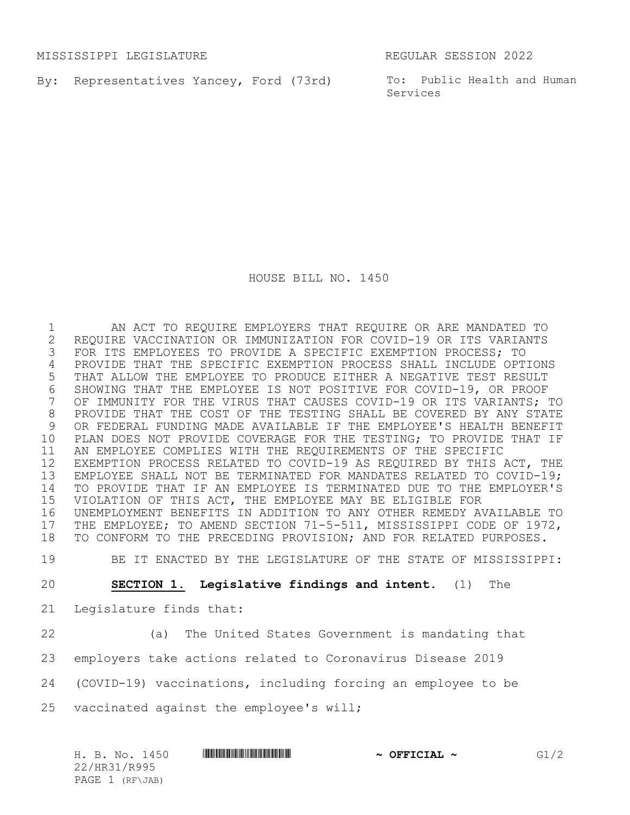MISSISSIPPI LEGISLATURE REGULAR SESSION 2022

By: Representatives Yancey, Ford (73rd) To: Public Health and Human

Services

HOUSE BILL NO. 1450

1 AN ACT TO REQUIRE EMPLOYERS THAT REQUIRE OR ARE MANDATED TO<br>2 REQUIRE VACCINATION OR IMMUNIZATION FOR COVID-19 OR ITS VARIANTS 2 REQUIRE VACCINATION OR IMMUNIZATION FOR COVID-19 OR ITS VARIANTS<br>3 FOR ITS EMPLOYEES TO PROVIDE A SPECIFIC EXEMPTION PROCESS; TO FOR ITS EMPLOYEES TO PROVIDE A SPECIFIC EXEMPTION PROCESS; TO PROVIDE THAT THE SPECIFIC EXEMPTION PROCESS SHALL INCLUDE OPTIONS THAT ALLOW THE EMPLOYEE TO PRODUCE EITHER A NEGATIVE TEST RESULT 6 SHOWING THAT THE EMPLOYEE IS NOT POSITIVE FOR COVID-19, OR PROOF<br>7 OF IMMUNITY FOR THE VIRUS THAT CAUSES COVID-19 OR ITS VARIANTS; OF IMMUNITY FOR THE VIRUS THAT CAUSES COVID-19 OR ITS VARIANTS; TO PROVIDE THAT THE COST OF THE TESTING SHALL BE COVERED BY ANY STATE OR FEDERAL FUNDING MADE AVAILABLE IF THE EMPLOYEE'S HEALTH BENEFIT PLAN DOES NOT PROVIDE COVERAGE FOR THE TESTING; TO PROVIDE THAT IF AN EMPLOYEE COMPLIES WITH THE REQUIREMENTS OF THE SPECIFIC EXEMPTION PROCESS RELATED TO COVID-19 AS REQUIRED BY THIS ACT, THE EMPLOYEE SHALL NOT BE TERMINATED FOR MANDATES RELATED TO COVID-19; TO PROVIDE THAT IF AN EMPLOYEE IS TERMINATED DUE TO THE EMPLOYER'S VIOLATION OF THIS ACT, THE EMPLOYEE MAY BE ELIGIBLE FOR UNEMPLOYMENT BENEFITS IN ADDITION TO ANY OTHER REMEDY AVAILABLE TO 17 THE EMPLOYEE; TO AMEND SECTION 71-5-511, MISSISSIPPI CODE OF 1972,<br>18 TO CONFORM TO THE PRECEDING PROVISION; AND FOR RELATED PURPOSES. TO CONFORM TO THE PRECEDING PROVISION; AND FOR RELATED PURPOSES.

19 BE IT ENACTED BY THE LEGISLATURE OF THE STATE OF MISSISSIPPI:

20 **SECTION 1. Legislative findings and intent**. (1) The

- 21 Legislature finds that:
- 

22 (a) The United States Government is mandating that

23 employers take actions related to Coronavirus Disease 2019

24 (COVID-19) vaccinations, including forcing an employee to be

25 vaccinated against the employee's will;

H. B. No. 1450 **\*\*\*\* A SEPTICIAL ~** OFFICIAL ~ G1/2 22/HR31/R995 PAGE 1 (RF\JAB)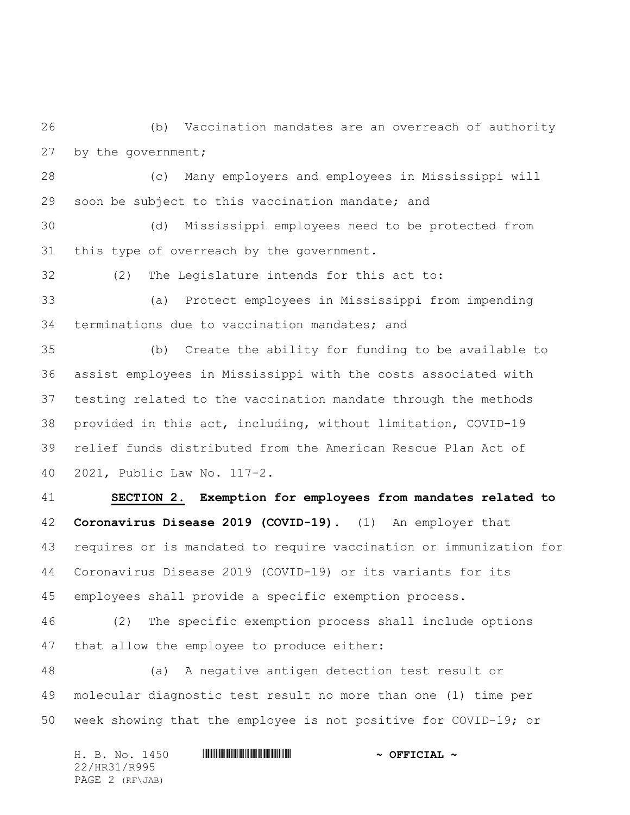(b) Vaccination mandates are an overreach of authority by the government;

 (c) Many employers and employees in Mississippi will soon be subject to this vaccination mandate; and

 (d) Mississippi employees need to be protected from this type of overreach by the government.

(2) The Legislature intends for this act to:

 (a) Protect employees in Mississippi from impending terminations due to vaccination mandates; and

 (b) Create the ability for funding to be available to assist employees in Mississippi with the costs associated with testing related to the vaccination mandate through the methods provided in this act, including, without limitation, COVID-19 relief funds distributed from the American Rescue Plan Act of 2021, Public Law No. 117-2.

 **SECTION 2. Exemption for employees from mandates related to Coronavirus Disease 2019 (COVID-19)**. (1) An employer that requires or is mandated to require vaccination or immunization for Coronavirus Disease 2019 (COVID-19) or its variants for its employees shall provide a specific exemption process.

 (2) The specific exemption process shall include options that allow the employee to produce either:

 (a) A negative antigen detection test result or molecular diagnostic test result no more than one (1) time per week showing that the employee is not positive for COVID-19; or

| H. B. No. 1450  | $\sim$ OFFICIAL $\sim$ |
|-----------------|------------------------|
| 22/HR31/R995    |                        |
| PAGE 2 (RF\JAB) |                        |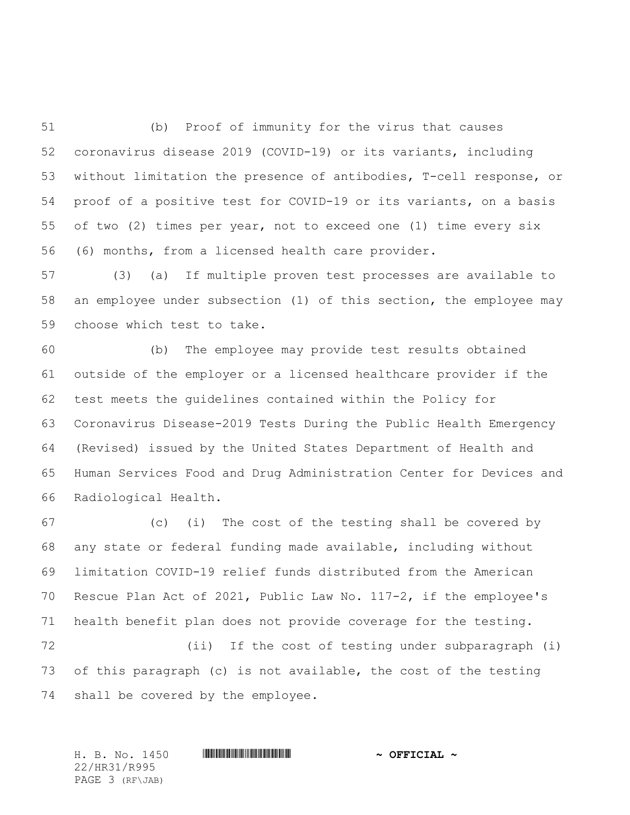(b) Proof of immunity for the virus that causes coronavirus disease 2019 (COVID-19) or its variants, including without limitation the presence of antibodies, T-cell response, or proof of a positive test for COVID-19 or its variants, on a basis of two (2) times per year, not to exceed one (1) time every six (6) months, from a licensed health care provider.

 (3) (a) If multiple proven test processes are available to an employee under subsection (1) of this section, the employee may choose which test to take.

 (b) The employee may provide test results obtained outside of the employer or a licensed healthcare provider if the test meets the guidelines contained within the Policy for Coronavirus Disease-2019 Tests During the Public Health Emergency (Revised) issued by the United States Department of Health and Human Services Food and Drug Administration Center for Devices and Radiological Health.

 (c) (i) The cost of the testing shall be covered by any state or federal funding made available, including without limitation COVID-19 relief funds distributed from the American Rescue Plan Act of 2021, Public Law No. 117-2, if the employee's health benefit plan does not provide coverage for the testing. (ii) If the cost of testing under subparagraph (i) of this paragraph (c) is not available, the cost of the testing

shall be covered by the employee.

H. B. No. 1450 \*HR31/R995\* **~ OFFICIAL ~** 22/HR31/R995 PAGE 3 (RF\JAB)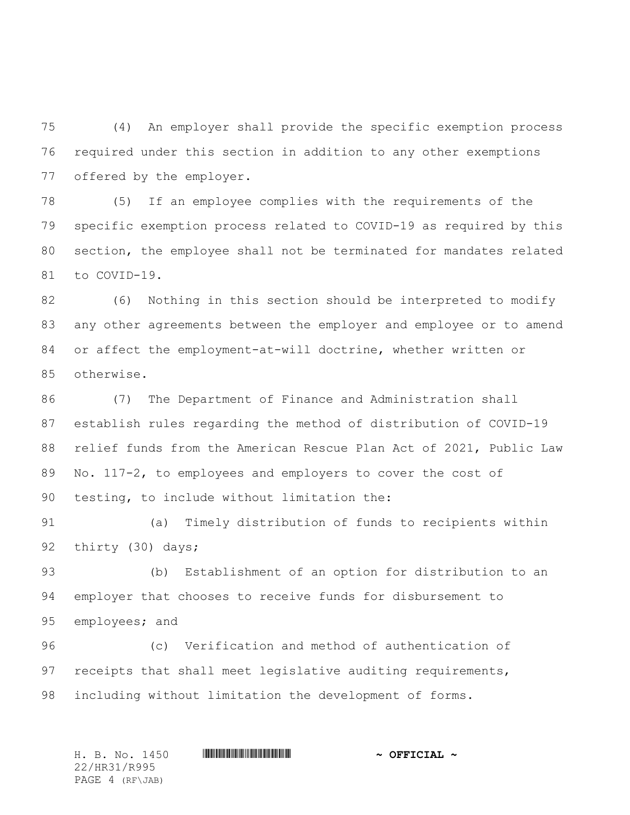(4) An employer shall provide the specific exemption process required under this section in addition to any other exemptions offered by the employer.

 (5) If an employee complies with the requirements of the specific exemption process related to COVID-19 as required by this section, the employee shall not be terminated for mandates related to COVID-19.

 (6) Nothing in this section should be interpreted to modify any other agreements between the employer and employee or to amend or affect the employment-at-will doctrine, whether written or otherwise.

 (7) The Department of Finance and Administration shall establish rules regarding the method of distribution of COVID-19 relief funds from the American Rescue Plan Act of 2021, Public Law 89 No. 117-2, to employees and employers to cover the cost of testing, to include without limitation the:

 (a) Timely distribution of funds to recipients within thirty (30) days;

 (b) Establishment of an option for distribution to an employer that chooses to receive funds for disbursement to employees; and

 (c) Verification and method of authentication of receipts that shall meet legislative auditing requirements, including without limitation the development of forms.

H. B. No. 1450 \*HR31/R995\* **~ OFFICIAL ~** 22/HR31/R995 PAGE 4 (RF\JAB)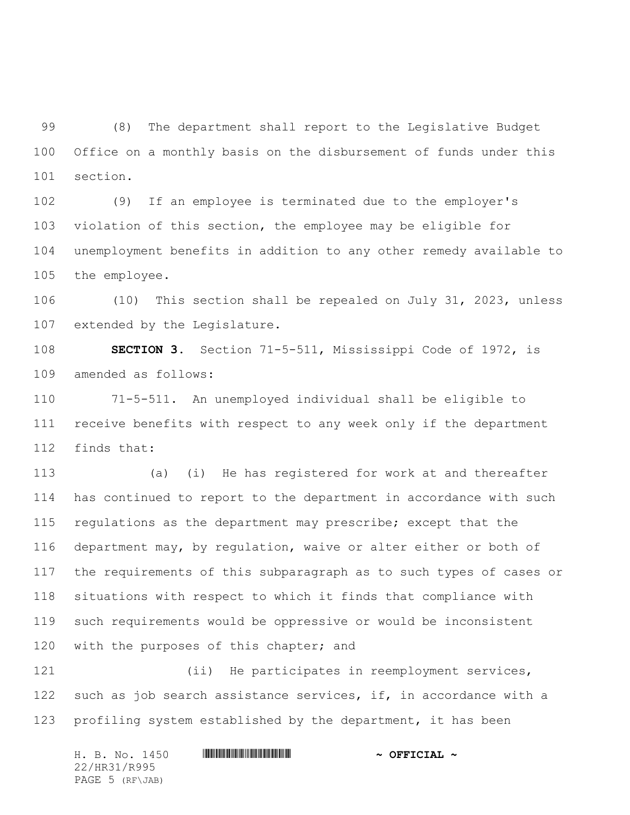(8) The department shall report to the Legislative Budget Office on a monthly basis on the disbursement of funds under this section.

 (9) If an employee is terminated due to the employer's violation of this section, the employee may be eligible for unemployment benefits in addition to any other remedy available to the employee.

 (10) This section shall be repealed on July 31, 2023, unless extended by the Legislature.

 **SECTION 3.** Section 71-5-511, Mississippi Code of 1972, is amended as follows:

 71-5-511. An unemployed individual shall be eligible to receive benefits with respect to any week only if the department finds that:

 (a) (i) He has registered for work at and thereafter has continued to report to the department in accordance with such regulations as the department may prescribe; except that the department may, by regulation, waive or alter either or both of the requirements of this subparagraph as to such types of cases or situations with respect to which it finds that compliance with such requirements would be oppressive or would be inconsistent 120 with the purposes of this chapter; and

 (ii) He participates in reemployment services, 122 such as job search assistance services, if, in accordance with a profiling system established by the department, it has been

| H. B. No. 1450  | $\sim$ OFFICIAL $\sim$ |
|-----------------|------------------------|
| 22/HR31/R995    |                        |
| PAGE 5 (RF\JAB) |                        |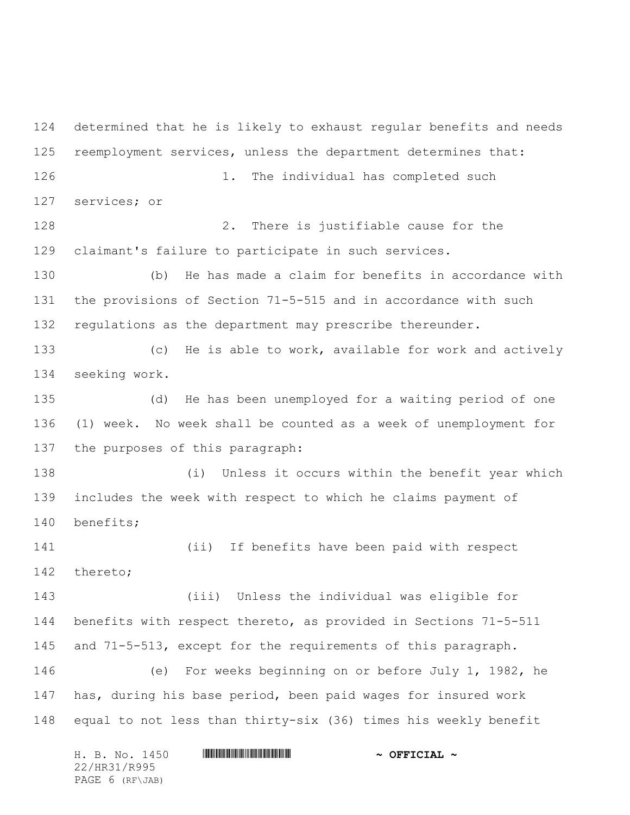determined that he is likely to exhaust regular benefits and needs reemployment services, unless the department determines that: 126 1. The individual has completed such services; or 2. There is justifiable cause for the claimant's failure to participate in such services. (b) He has made a claim for benefits in accordance with the provisions of Section 71-5-515 and in accordance with such regulations as the department may prescribe thereunder. (c) He is able to work, available for work and actively seeking work. (d) He has been unemployed for a waiting period of one (1) week. No week shall be counted as a week of unemployment for the purposes of this paragraph: (i) Unless it occurs within the benefit year which includes the week with respect to which he claims payment of benefits; (ii) If benefits have been paid with respect thereto; (iii) Unless the individual was eligible for benefits with respect thereto, as provided in Sections 71-5-511 and 71-5-513, except for the requirements of this paragraph. (e) For weeks beginning on or before July 1, 1982, he has, during his base period, been paid wages for insured work equal to not less than thirty-six (36) times his weekly benefit

|                 |  | H. B. No. 1450 |  | $\sim$ OFFICIAL $\sim$ |
|-----------------|--|----------------|--|------------------------|
| 22/HR31/R995    |  |                |  |                        |
| PAGE 6 (RF\JAB) |  |                |  |                        |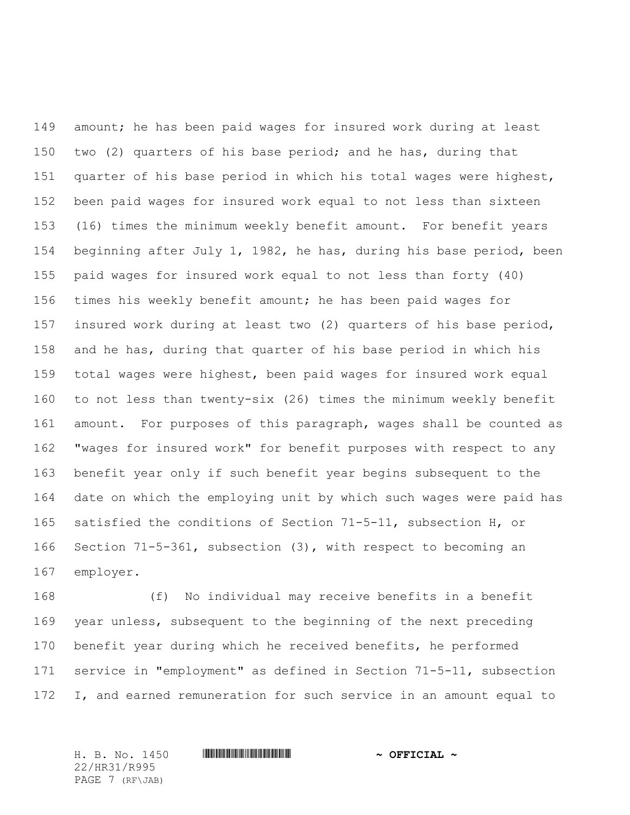amount; he has been paid wages for insured work during at least two (2) quarters of his base period; and he has, during that quarter of his base period in which his total wages were highest, been paid wages for insured work equal to not less than sixteen (16) times the minimum weekly benefit amount. For benefit years beginning after July 1, 1982, he has, during his base period, been paid wages for insured work equal to not less than forty (40) times his weekly benefit amount; he has been paid wages for insured work during at least two (2) quarters of his base period, and he has, during that quarter of his base period in which his total wages were highest, been paid wages for insured work equal to not less than twenty-six (26) times the minimum weekly benefit amount. For purposes of this paragraph, wages shall be counted as "wages for insured work" for benefit purposes with respect to any benefit year only if such benefit year begins subsequent to the date on which the employing unit by which such wages were paid has satisfied the conditions of Section 71-5-11, subsection H, or Section 71-5-361, subsection (3), with respect to becoming an employer.

 (f) No individual may receive benefits in a benefit year unless, subsequent to the beginning of the next preceding benefit year during which he received benefits, he performed service in "employment" as defined in Section 71-5-11, subsection I, and earned remuneration for such service in an amount equal to

22/HR31/R995 PAGE 7 (RF\JAB)

H. B. No. 1450 \*HR31/R995\* **~ OFFICIAL ~**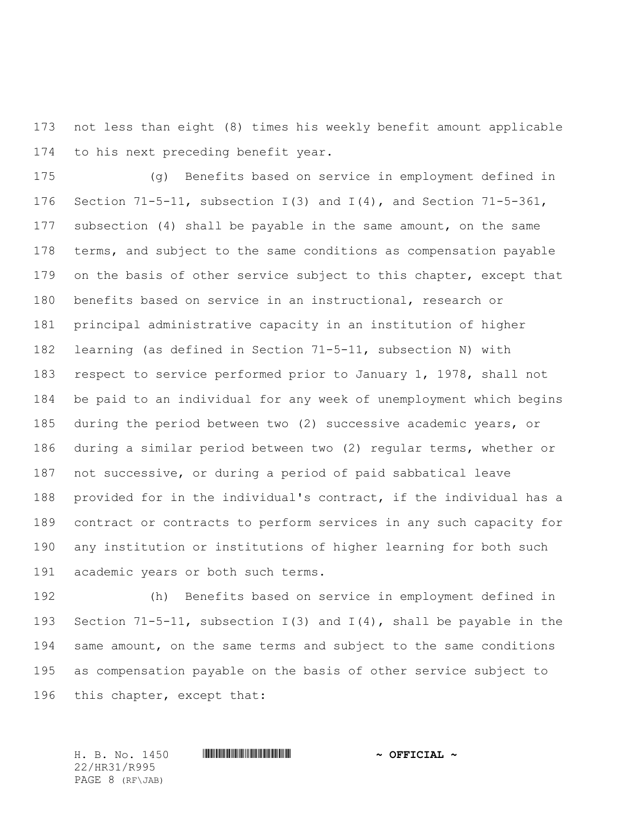not less than eight (8) times his weekly benefit amount applicable to his next preceding benefit year.

 (g) Benefits based on service in employment defined in Section 71-5-11, subsection I(3) and I(4), and Section 71-5-361, subsection (4) shall be payable in the same amount, on the same 178 terms, and subject to the same conditions as compensation payable 179 on the basis of other service subject to this chapter, except that benefits based on service in an instructional, research or principal administrative capacity in an institution of higher learning (as defined in Section 71-5-11, subsection N) with respect to service performed prior to January 1, 1978, shall not be paid to an individual for any week of unemployment which begins during the period between two (2) successive academic years, or during a similar period between two (2) regular terms, whether or not successive, or during a period of paid sabbatical leave provided for in the individual's contract, if the individual has a contract or contracts to perform services in any such capacity for any institution or institutions of higher learning for both such academic years or both such terms.

 (h) Benefits based on service in employment defined in Section 71-5-11, subsection I(3) and I(4), shall be payable in the same amount, on the same terms and subject to the same conditions as compensation payable on the basis of other service subject to this chapter, except that:

22/HR31/R995 PAGE 8 (RF\JAB)

H. B. No. 1450 \*HR31/R995\* **~ OFFICIAL ~**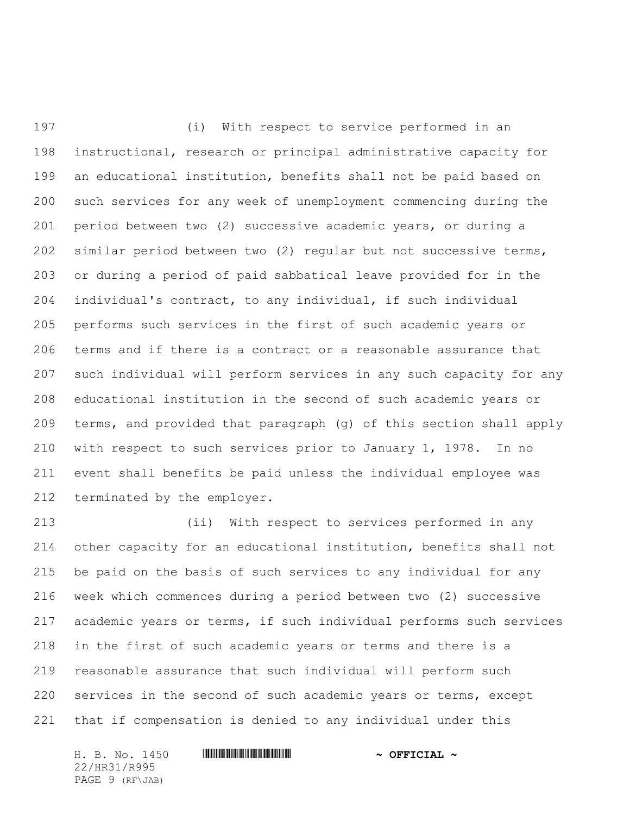(i) With respect to service performed in an instructional, research or principal administrative capacity for an educational institution, benefits shall not be paid based on such services for any week of unemployment commencing during the period between two (2) successive academic years, or during a similar period between two (2) regular but not successive terms, or during a period of paid sabbatical leave provided for in the individual's contract, to any individual, if such individual performs such services in the first of such academic years or terms and if there is a contract or a reasonable assurance that such individual will perform services in any such capacity for any educational institution in the second of such academic years or terms, and provided that paragraph (g) of this section shall apply with respect to such services prior to January 1, 1978. In no event shall benefits be paid unless the individual employee was terminated by the employer.

 (ii) With respect to services performed in any other capacity for an educational institution, benefits shall not be paid on the basis of such services to any individual for any week which commences during a period between two (2) successive academic years or terms, if such individual performs such services in the first of such academic years or terms and there is a reasonable assurance that such individual will perform such services in the second of such academic years or terms, except that if compensation is denied to any individual under this

H. B. No. 1450 **. HURIGH SEPTIME AND A SEPTICIAL ~** 22/HR31/R995 PAGE 9 (RF\JAB)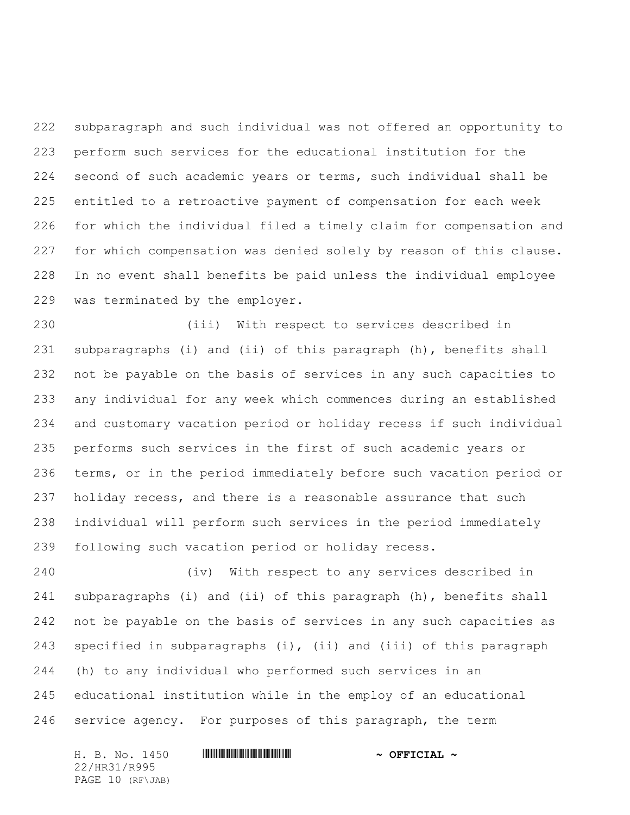subparagraph and such individual was not offered an opportunity to perform such services for the educational institution for the second of such academic years or terms, such individual shall be entitled to a retroactive payment of compensation for each week for which the individual filed a timely claim for compensation and for which compensation was denied solely by reason of this clause. In no event shall benefits be paid unless the individual employee was terminated by the employer.

 (iii) With respect to services described in subparagraphs (i) and (ii) of this paragraph (h), benefits shall not be payable on the basis of services in any such capacities to any individual for any week which commences during an established and customary vacation period or holiday recess if such individual performs such services in the first of such academic years or terms, or in the period immediately before such vacation period or holiday recess, and there is a reasonable assurance that such individual will perform such services in the period immediately following such vacation period or holiday recess.

 (iv) With respect to any services described in subparagraphs (i) and (ii) of this paragraph (h), benefits shall not be payable on the basis of services in any such capacities as specified in subparagraphs (i), (ii) and (iii) of this paragraph (h) to any individual who performed such services in an educational institution while in the employ of an educational service agency. For purposes of this paragraph, the term

H. B. No. 1450 **. HURIGH SEPTIME AND A SEPTICIAL ~** 22/HR31/R995 PAGE 10 (RF\JAB)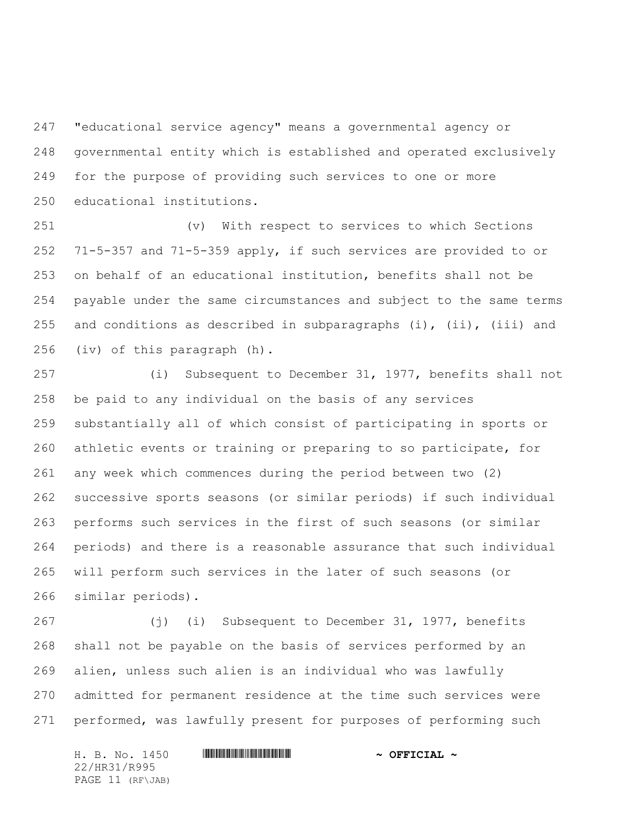"educational service agency" means a governmental agency or governmental entity which is established and operated exclusively for the purpose of providing such services to one or more educational institutions.

 (v) With respect to services to which Sections 71-5-357 and 71-5-359 apply, if such services are provided to or on behalf of an educational institution, benefits shall not be payable under the same circumstances and subject to the same terms 255 and conditions as described in subparagraphs (i), (ii), (iii) and (iv) of this paragraph (h).

 (i) Subsequent to December 31, 1977, benefits shall not be paid to any individual on the basis of any services substantially all of which consist of participating in sports or athletic events or training or preparing to so participate, for any week which commences during the period between two (2) successive sports seasons (or similar periods) if such individual performs such services in the first of such seasons (or similar periods) and there is a reasonable assurance that such individual will perform such services in the later of such seasons (or similar periods).

 (j) (i) Subsequent to December 31, 1977, benefits shall not be payable on the basis of services performed by an alien, unless such alien is an individual who was lawfully admitted for permanent residence at the time such services were performed, was lawfully present for purposes of performing such

H. B. No. 1450 **. HURIGHE SEE ALL ASSESSED ASSESSED A** 22/HR31/R995 PAGE 11 (RF\JAB)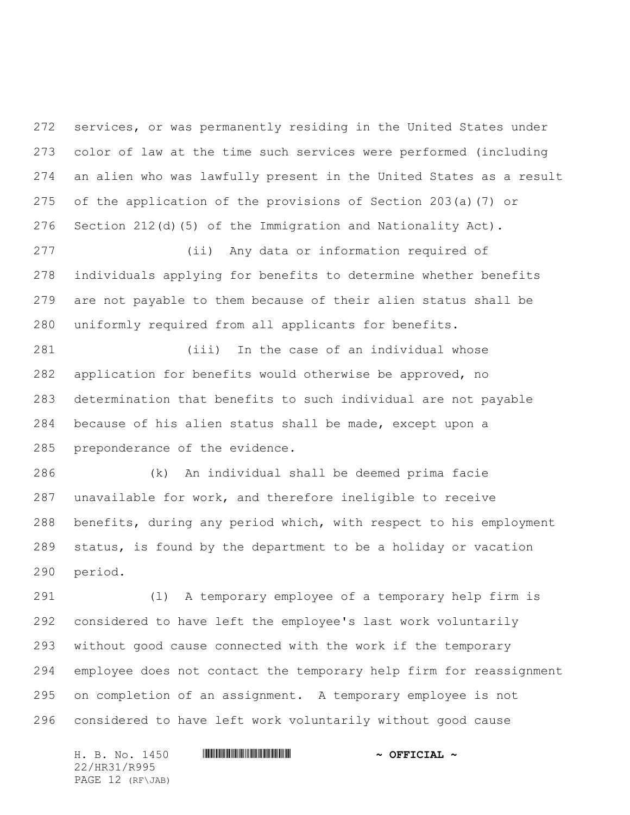services, or was permanently residing in the United States under color of law at the time such services were performed (including an alien who was lawfully present in the United States as a result of the application of the provisions of Section 203(a)(7) or Section 212(d)(5) of the Immigration and Nationality Act).

 (ii) Any data or information required of individuals applying for benefits to determine whether benefits are not payable to them because of their alien status shall be uniformly required from all applicants for benefits.

 (iii) In the case of an individual whose application for benefits would otherwise be approved, no determination that benefits to such individual are not payable because of his alien status shall be made, except upon a preponderance of the evidence.

 (k) An individual shall be deemed prima facie unavailable for work, and therefore ineligible to receive benefits, during any period which, with respect to his employment status, is found by the department to be a holiday or vacation period.

 (l) A temporary employee of a temporary help firm is considered to have left the employee's last work voluntarily without good cause connected with the work if the temporary employee does not contact the temporary help firm for reassignment on completion of an assignment. A temporary employee is not considered to have left work voluntarily without good cause

H. B. No. 1450 **. HURIGHE SEE ALL ASSESSED ASSESSED A** 22/HR31/R995 PAGE 12 (RF\JAB)